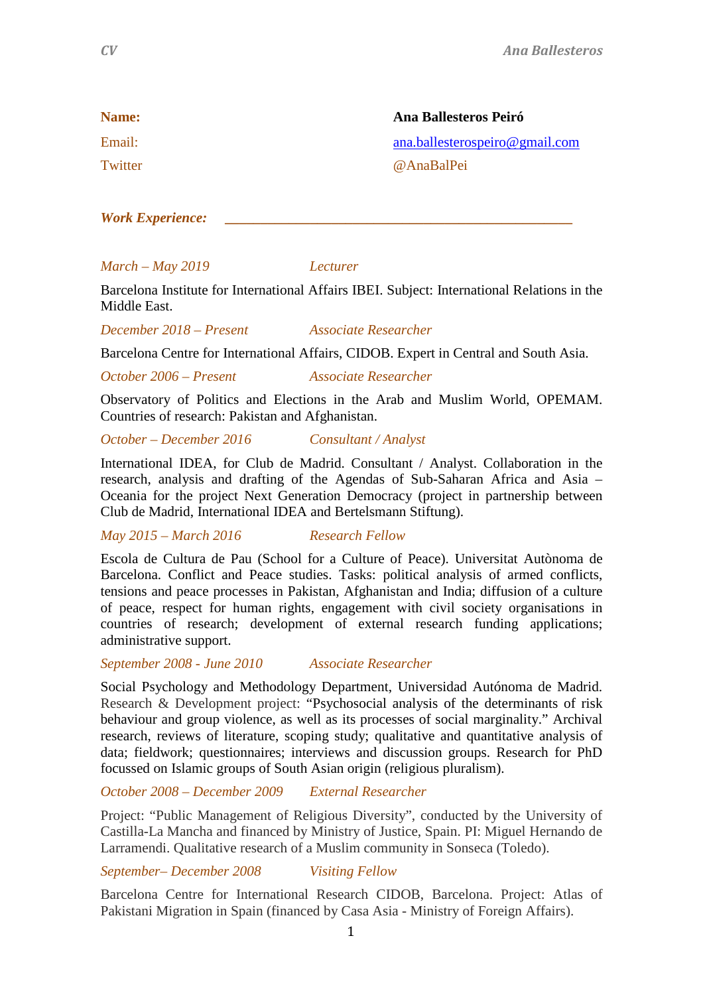| Name:   | Ana Ballesteros Peiró          |
|---------|--------------------------------|
| Email:  | ana.ballesterospeiro@gmail.com |
| Twitter | @AnaBalPei                     |

*Work Experience: \_\_\_\_\_\_\_\_\_\_\_\_\_\_\_\_\_\_\_\_\_\_\_\_\_\_\_\_\_\_\_\_\_\_\_\_\_\_\_\_\_\_\_\_\_\_\_\_\_*

### *March – May 2019 Lecturer*

Barcelona Institute for International Affairs IBEI. Subject: International Relations in the Middle East.

*December 2018 – Present Associate Researcher*

Barcelona Centre for International Affairs, CIDOB. Expert in Central and South Asia.

*October 2006 – Present Associate Researcher*

Observatory of Politics and Elections in the Arab and Muslim World, OPEMAM. Countries of research: Pakistan and Afghanistan.

*October – December 2016 Consultant / Analyst*

International IDEA, for Club de Madrid. Consultant / Analyst. Collaboration in the research, analysis and drafting of the Agendas of Sub-Saharan Africa and Asia – Oceania for the project Next Generation Democracy (project in partnership between Club de Madrid, International IDEA and Bertelsmann Stiftung).

*May 2015 – March 2016 Research Fellow* 

Escola de Cultura de Pau (School for a Culture of Peace). Universitat Autònoma de Barcelona. Conflict and Peace studies. Tasks: political analysis of armed conflicts, tensions and peace processes in Pakistan, Afghanistan and India; diffusion of a culture of peace, respect for human rights, engagement with civil society organisations in countries of research; development of external research funding applications; administrative support.

# *September 2008 - June 2010 Associate Researcher*

Social Psychology and Methodology Department, Universidad Autónoma de Madrid. Research & Development project: "Psychosocial analysis of the determinants of risk behaviour and group violence, as well as its processes of social marginality." Archival research, reviews of literature, scoping study; qualitative and quantitative analysis of data; fieldwork; questionnaires; interviews and discussion groups. Research for PhD focussed on Islamic groups of South Asian origin (religious pluralism).

*October 2008 – December 2009 External Researcher*

Project: "Public Management of Religious Diversity", conducted by the University of Castilla-La Mancha and financed by Ministry of Justice, Spain. PI: Miguel Hernando de Larramendi. Qualitative research of a Muslim community in Sonseca (Toledo).

*September– December 2008 Visiting Fellow*

Barcelona Centre for International Research CIDOB, Barcelona. Project: Atlas of Pakistani Migration in Spain (financed by Casa Asia - Ministry of Foreign Affairs).

1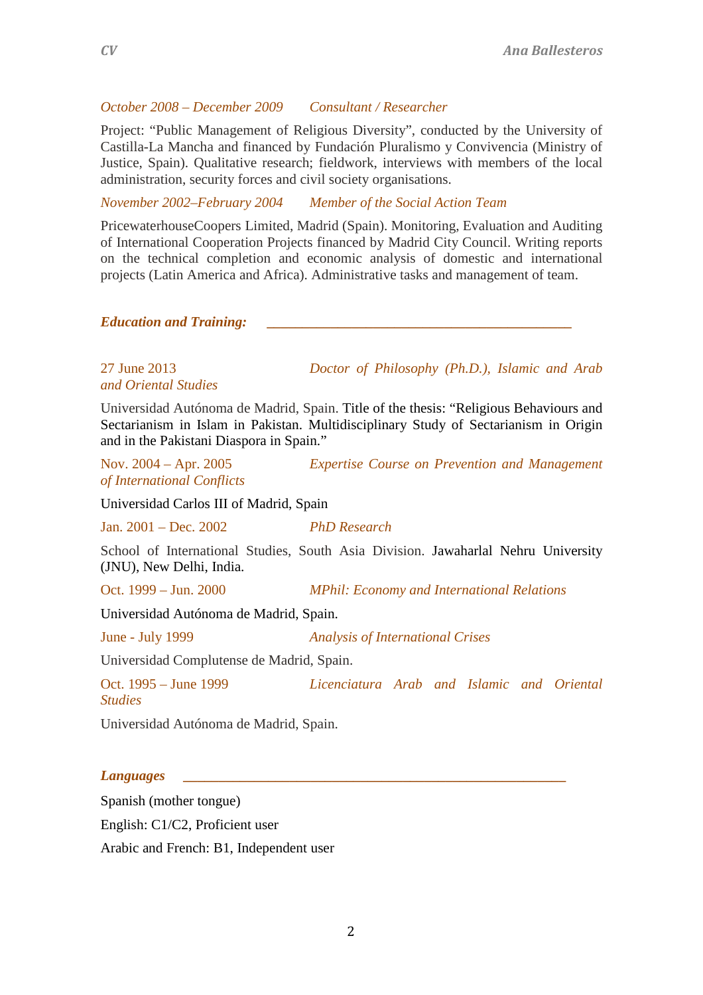# *October 2008 – December 2009 Consultant / Researcher*

Project: "Public Management of Religious Diversity", conducted by the University of Castilla-La Mancha and financed by Fundación Pluralismo y Convivencia (Ministry of Justice, Spain). Qualitative research; fieldwork, interviews with members of the local administration, security forces and civil society organisations.

*November 2002–February 2004 Member of the Social Action Team*

PricewaterhouseCoopers Limited, Madrid (Spain). Monitoring, Evaluation and Auditing of International Cooperation Projects financed by Madrid City Council. Writing reports on the technical completion and economic analysis of domestic and international projects (Latin America and Africa). Administrative tasks and management of team.

*Education and Training:* 

*and Oriental Studies*

27 June 2013 *Doctor of Philosophy (Ph.D.), Islamic and Arab* 

Universidad Autónoma de Madrid, Spain. Title of the thesis: "Religious Behaviours and Sectarianism in Islam in Pakistan. Multidisciplinary Study of Sectarianism in Origin and in the Pakistani Diaspora in Spain."

*of International Conflicts*

Nov. 2004 – Apr. 2005 *Expertise Course on Prevention and Management* 

Universidad Carlos III of Madrid, Spain

Jan. 2001 – Dec. 2002 *PhD Research*

School of International Studies, South Asia Division. Jawaharlal Nehru University (JNU), New Delhi, India.

Oct. 1999 – Jun. 2000 *MPhil: Economy and International Relations*

Universidad Autónoma de Madrid, Spain.

June - July 1999 *Analysis of International Crises*

Universidad Complutense de Madrid, Spain.

Oct. 1995 – June 1999 *Licenciatura Arab and Islamic and Oriental Studies*

Universidad Autónoma de Madrid, Spain.

### *Languages \_\_\_\_\_\_\_\_\_\_\_\_\_\_\_\_\_\_\_\_\_\_\_\_\_\_\_\_\_\_\_\_\_\_\_\_\_\_\_\_\_\_\_\_\_\_\_\_\_\_\_\_\_\_*

Spanish (mother tongue) English: C1/C2, Proficient user Arabic and French: B1, Independent user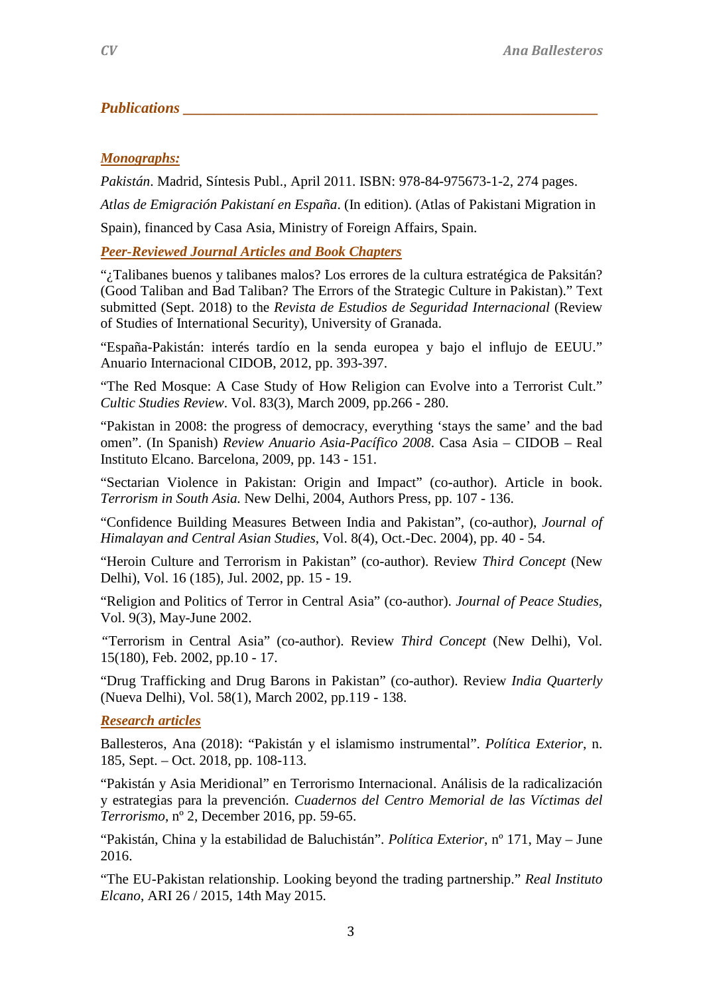# *Publications*

# *Monographs:*

*Pakistán*. Madrid, Síntesis Publ., April 2011. ISBN: 978-84-975673-1-2, 274 pages.

*Atlas de Emigración Pakistaní en España*. (In edition). (Atlas of Pakistani Migration in

Spain), financed by Casa Asia, Ministry of Foreign Affairs, Spain.

*Peer-Reviewed Journal Articles and Book Chapters*

"¿Talibanes buenos y talibanes malos? Los errores de la cultura estratégica de Paksitán? (Good Taliban and Bad Taliban? The Errors of the Strategic Culture in Pakistan)." Text submitted (Sept. 2018) to the *Revista de Estudios de Seguridad Internacional* (Review of Studies of International Security), University of Granada.

"España-Pakistán: interés tardío en la senda europea y bajo el influjo de EEUU." Anuario Internacional CIDOB, 2012, pp. 393-397.

"The Red Mosque: A Case Study of How Religion can Evolve into a Terrorist Cult." *Cultic Studies Review*. Vol. 83(3), March 2009, pp.266 - 280.

"Pakistan in 2008: the progress of democracy, everything 'stays the same' and the bad omen". (In Spanish) *Review Anuario Asia-Pacífico 2008*. Casa Asia – CIDOB – Real Instituto Elcano. Barcelona, 2009, pp. 143 - 151.

"Sectarian Violence in Pakistan: Origin and Impact" (co-author). Article in book. *Terrorism in South Asia.* New Delhi, 2004, Authors Press, pp. 107 - 136.

"Confidence Building Measures Between India and Pakistan", (co-author), *Journal of Himalayan and Central Asian Studies*, Vol. 8(4), Oct.-Dec. 2004), pp. 40 - 54.

"Heroin Culture and Terrorism in Pakistan" (co-author). Review *Third Concept* (New Delhi), Vol. 16 (185), Jul. 2002, pp. 15 - 19.

"Religion and Politics of Terror in Central Asia" (co-author). *Journal of Peace Studies*, Vol. 9(3), May-June 2002.

*"*Terrorism in Central Asia" (co-author). Review *Third Concept* (New Delhi), Vol. 15(180), Feb. 2002, pp.10 - 17.

"Drug Trafficking and Drug Barons in Pakistan" (co-author). Review *India Quarterly* (Nueva Delhi), Vol. 58(1), March 2002, pp.119 - 138.

# *Research articles*

Ballesteros, Ana (2018): "Pakistán y el islamismo instrumental". *Política Exterior*, n. 185, Sept. – Oct. 2018, pp. 108-113.

"Pakistán y Asia Meridional" en Terrorismo Internacional. Análisis de la radicalización y estrategias para la prevención. *Cuadernos del Centro Memorial de las Víctimas del Terrorismo*, nº 2, December 2016, pp. 59-65.

"Pakistán, China y la estabilidad de Baluchistán". *Política Exterior*, nº 171, May – June 2016.

"The EU-Pakistan relationship. Looking beyond the trading partnership." *Real Instituto Elcano*, ARI 26 / 2015, 14th May 2015.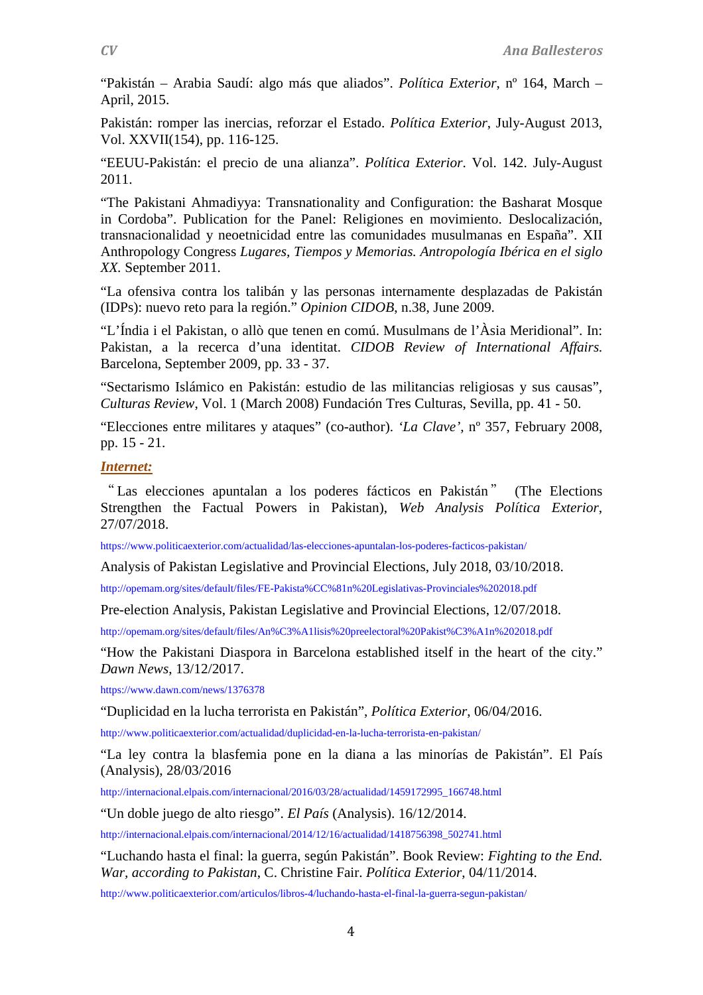"Pakistán – Arabia Saudí: algo más que aliados". *Política Exterior*, nº 164, March – April, 2015.

Pakistán: romper las inercias, reforzar el Estado. *Política Exterior*, July-August 2013, Vol. XXVII(154), pp. 116-125.

"EEUU-Pakistán: el precio de una alianza". *Política Exterior*. Vol. 142. July-August 2011.

"The Pakistani Ahmadiyya: Transnationality and Configuration: the Basharat Mosque in Cordoba". Publication for the Panel: Religiones en movimiento. Deslocalización, transnacionalidad y neoetnicidad entre las comunidades musulmanas en España". XII Anthropology Congress *Lugares, Tiempos y Memorias. Antropología Ibérica en el siglo XX.* September 2011.

"La ofensiva contra los talibán y las personas internamente desplazadas de Pakistán (IDPs): nuevo reto para la región." *Opinion CIDOB*, n.38, June 2009.

"L'Índia i el Pakistan, o allò que tenen en comú. Musulmans de l'Àsia Meridional". In: Pakistan, a la recerca d'una identitat. *CIDOB Review of International Affairs.* Barcelona, September 2009, pp. 33 - 37.

"Sectarismo Islámico en Pakistán: estudio de las militancias religiosas y sus causas", *Culturas Review*, Vol. 1 (March 2008) Fundación Tres Culturas, Sevilla, pp. 41 - 50.

"Elecciones entre militares y ataques" (co-author). *'La Clave'*, nº 357, February 2008, pp. 15 - 21.

### *Internet:*

" Las elecciones apuntalan a los poderes fácticos en Pakistán" (The Elections Strengthen the Factual Powers in Pakistan), *Web Analysis Política Exterior*, 27/07/2018.

<https://www.politicaexterior.com/actualidad/las-elecciones-apuntalan-los-poderes-facticos-pakistan/>

Analysis of Pakistan Legislative and Provincial Elections, July 2018, 03/10/2018.

<http://opemam.org/sites/default/files/FE-Pakista%CC%81n%20Legislativas-Provinciales%202018.pdf>

Pre-election Analysis, Pakistan Legislative and Provincial Elections, 12/07/2018.

<http://opemam.org/sites/default/files/An%C3%A1lisis%20preelectoral%20Pakist%C3%A1n%202018.pdf>

"How the Pakistani Diaspora in Barcelona established itself in the heart of the city." *Dawn News*, 13/12/2017.

<https://www.dawn.com/news/1376378>

"Duplicidad en la lucha terrorista en Pakistán", *Política Exterior*, 06/04/2016.

http://www.politicaexterior.com/actualidad/duplicidad-en-la-lucha-terrorista-en-pakistan/

"La ley contra la blasfemia pone en la diana a las minorías de Pakistán". El País (Analysis), 28/03/2016

http://internacional.elpais.com/internacional/2016/03/28/actualidad/1459172995\_166748.html

"Un doble juego de alto riesgo". *El País* (Analysis). 16/12/2014.

http://internacional.elpais.com/internacional/2014/12/16/actualidad/1418756398\_502741.html

"Luchando hasta el final: la guerra, según Pakistán". Book Review: *Fighting to the End. War, according to Pakistan*, C. Christine Fair. *Política Exterior*, 04/11/2014.

http://www.politicaexterior.com/articulos/libros-4/luchando-hasta-el-final-la-guerra-segun-pakistan/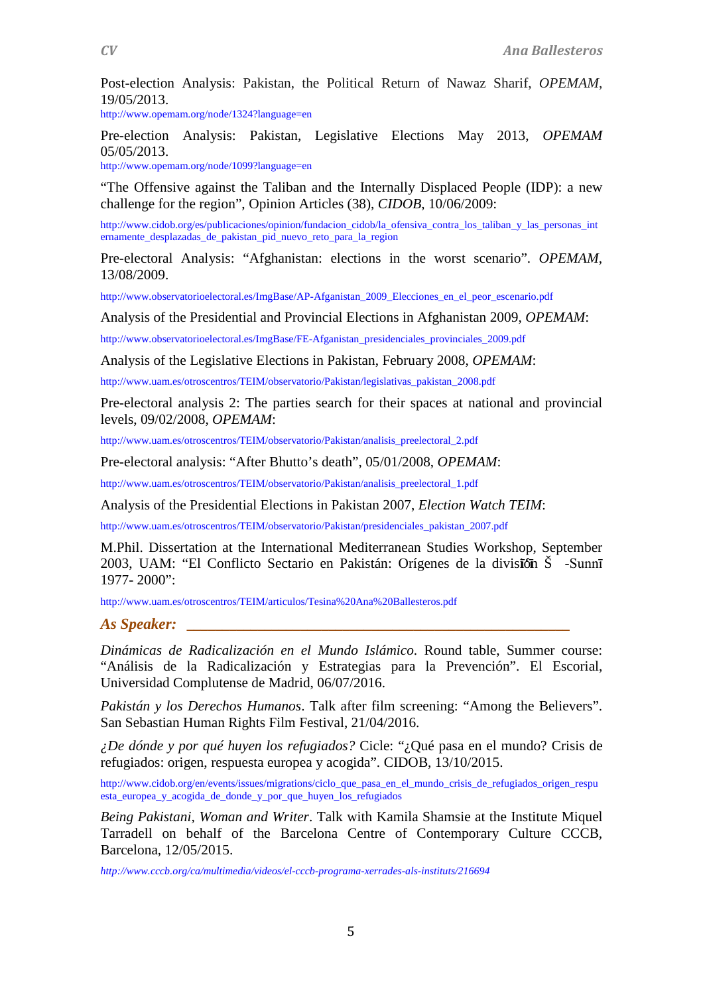Post-election Analysis: Pakistan, the Political Return of Nawaz Sharif, *OPEMAM*, 19/05/2013.

http://www.opemam.org/node/1324?language=en

Pre-election Analysis: Pakistan, Legislative Elections May 2013, *OPEMAM* 05/05/2013.

http://www.opemam.org/node/1099?language=en

"The Offensive against the Taliban and the Internally Displaced People (IDP): a new challenge for the region", Opinion Articles (38), *CIDOB*, 10/06/2009:

http://www.cidob.org/es/publicaciones/opinion/fundacion\_cidob/la\_ofensiva\_contra\_los\_taliban\_y\_las\_personas\_int ernamente\_desplazadas\_de\_pakistan\_pid\_nuevo\_reto\_para\_la\_region

Pre-electoral Analysis: "Afghanistan: elections in the worst scenario". *OPEMAM*, 13/08/2009.

http://www.observatorioelectoral.es/ImgBase/AP-Afganistan\_2009\_Elecciones\_en\_el\_peor\_escenario.pdf

Analysis of the Presidential and Provincial Elections in Afghanistan 2009, *OPEMAM*:

http://www.observatorioelectoral.es/ImgBase/FE-Afganistan\_presidenciales\_provinciales\_2009.pdf

Analysis of the Legislative Elections in Pakistan, February 2008, *OPEMAM*:

http://www.uam.es/otroscentros/TEIM/observatorio/Pakistan/legislativas\_pakistan\_2008.pdf

Pre-electoral analysis 2: The parties search for their spaces at national and provincial levels, 09/02/2008, *OPEMAM*:

http://www.uam.es/otroscentros/TEIM/observatorio/Pakistan/analisis\_preelectoral\_2.pdf

Pre-electoral analysis: "After Bhutto's death", 05/01/2008, *OPEMAM*:

http://www.uam.es/otroscentros/TEIM/observatorio/Pakistan/analisis\_preelectoral\_1.pdf

Analysis of the Presidential Elections in Pakistan 2007, *Election Watch TEIM*:

http://www.uam.es/otroscentros/TEIM/observatorio/Pakistan/presidenciales\_pakistan\_2007.pdf

M.Phil. Dissertation at the International Mediterranean Studies Workshop, September 2003, UAM: "El Conflicto Sectario en Pakistán: Orígenes de la división Š -Sunnī 1977- 2000":

http://www.uam.es/otroscentros/TEIM/articulos/Tesina%20Ana%20Ballesteros.pdf

### *As Speaker: \_\_\_\_\_\_\_\_\_\_\_\_\_\_\_\_\_\_\_\_\_\_\_\_\_\_\_\_\_\_\_\_\_\_\_\_\_\_\_\_\_\_\_\_\_\_\_\_\_\_\_\_\_\_*

*Dinámicas de Radicalización en el Mundo Islámico*. Round table, Summer course: "Análisis de la Radicalización y Estrategias para la Prevención". El Escorial, Universidad Complutense de Madrid, 06/07/2016.

*Pakistán y los Derechos Humanos*. Talk after film screening: "Among the Believers". San Sebastian Human Rights Film Festival, 21/04/2016.

*¿De dónde y por qué huyen los refugiados?* Cicle: "¿Qué pasa en el mundo? Crisis de refugiados: origen, respuesta europea y acogida". CIDOB, 13/10/2015.

http://www.cidob.org/en/events/issues/migrations/ciclo\_que\_pasa\_en\_el\_mundo\_crisis\_de\_refugiados\_origen\_respu esta\_europea\_y\_acogida\_de\_donde\_y\_por\_que\_huyen\_los\_refugiados

*Being Pakistani, Woman and Writer*. Talk with Kamila Shamsie at the Institute Miquel Tarradell on behalf of the Barcelona Centre of Contemporary Culture CCCB, Barcelona, 12/05/2015.

*http://www.cccb.org/ca/multimedia/videos/el-cccb-programa-xerrades-als-instituts/216694*